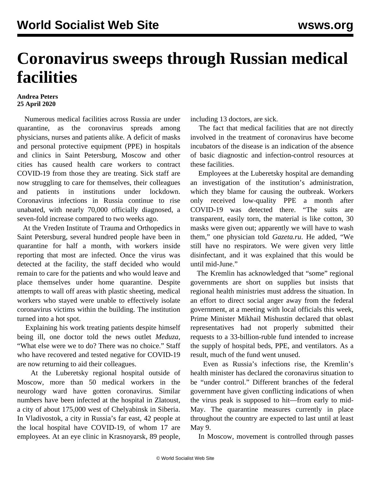## **Coronavirus sweeps through Russian medical facilities**

## **Andrea Peters 25 April 2020**

 Numerous medical facilities across Russia are under quarantine, as the coronavirus spreads among physicians, nurses and patients alike. A deficit of masks and personal protective equipment (PPE) in hospitals and clinics in Saint Petersburg, Moscow and other cities has caused health care workers to contract COVID-19 from those they are treating. Sick staff are now struggling to care for themselves, their colleagues and patients in institutions under lockdown. Coronavirus infections in Russia continue to rise unabated, with nearly 70,000 officially diagnosed, a seven-fold increase compared to two weeks ago.

 At the Vreden Institute of Trauma and Orthopedics in Saint Petersburg, several hundred people have been in quarantine for half a month, with workers inside reporting that most are infected. Once the virus was detected at the facility, the staff decided who would remain to care for the patients and who would leave and place themselves under home quarantine. Despite attempts to wall off areas with plastic sheeting, medical workers who stayed were unable to effectively isolate coronavirus victims within the building. The institution turned into a hot spot.

 Explaining his work treating patients despite himself being ill, one doctor told the news outlet *Meduza*, "What else were we to do? There was no choice." Staff who have recovered and tested negative for COVID-19 are now returning to aid their colleagues.

 At the Luberetsky regional hospital outside of Moscow, more than 50 medical workers in the neurology ward have gotten coronavirus. Similar numbers have been infected at the hospital in Zlatoust, a city of about 175,000 west of Chelyabinsk in Siberia. In Vladivostok, a city in Russia's far east, 42 people at the local hospital have COVID-19, of whom 17 are employees. At an eye clinic in Krasnoyarsk, 89 people,

including 13 doctors, are sick.

 The fact that medical facilities that are not directly involved in the treatment of coronavirus have become incubators of the disease is an indication of the absence of basic diagnostic and infection-control resources at these facilities.

 Employees at the Luberetsky hospital are demanding an investigation of the institution's administration, which they blame for causing the outbreak. Workers only received low-quality PPE a month after COVID-19 was detected there. "The suits are transparent, easily torn, the material is like cotton, 30 masks were given out; apparently we will have to wash them," one physician told *Gazeta.ru*. He added, "We still have no respirators. We were given very little disinfectant, and it was explained that this would be until mid-June."

 The Kremlin has acknowledged that "some" regional governments are short on supplies but insists that regional health ministries must address the situation. In an effort to direct social anger away from the federal government, at a meeting with local officials this week, Prime Minister Mikhail Mishustin declared that oblast representatives had not properly submitted their requests to a 33-billion-ruble fund intended to increase the supply of hospital beds, PPE, and ventilators. As a result, much of the fund went unused.

 Even as Russia's infections rise, the Kremlin's health minister has declared the coronavirus situation to be "under control." Different branches of the federal government have given conflicting indications of when the virus peak is supposed to hit—from early to mid-May. The quarantine measures currently in place throughout the country are expected to last until at least May 9.

In Moscow, movement is controlled through passes